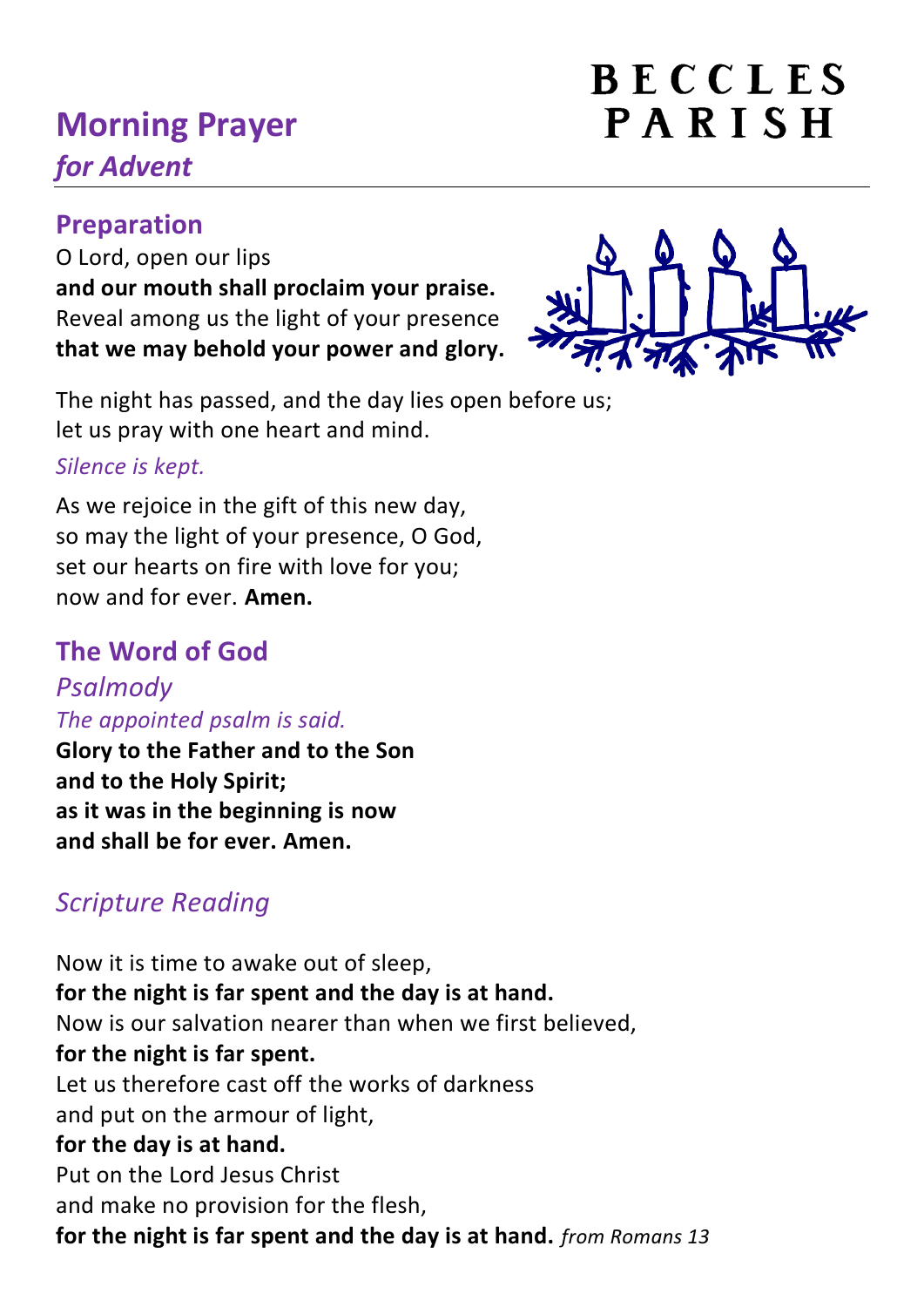# **Morning Prayer** *for Advent*

## **Preparation**

O Lord, open our lips **and our mouth shall proclaim your praise.** Reveal among us the light of your presence **that we may behold your power and glory.**

BECCLES

PARISH

The night has passed, and the day lies open before us; let us pray with one heart and mind. *Silence is kept.*

As we rejoice in the gift of this new day, so may the light of your presence, O God, set our hearts on fire with love for you; now and for ever. **Amen.**

## **The Word of God**

*[Psalmody](https://www.churchofengland.org/common-material/psalter#mm13a) The appointed psalm is said.*

**Glory to the Father and to the Son and to the Holy Spirit; as it was in the beginning is now and shall be for ever. Amen.**

## *Scripture Reading*

Now it is time to awake out of sleep, **for the night is far spent and the day is at hand.** Now is our salvation nearer than when we first believed, **for the night is far spent.** Let us therefore cast off the works of darkness and put on the armour of light, **for the day is at hand.** Put on the Lord Jesus Christ and make no provision for the flesh, **for the night is far spent and the day is at hand.** *from Romans 13*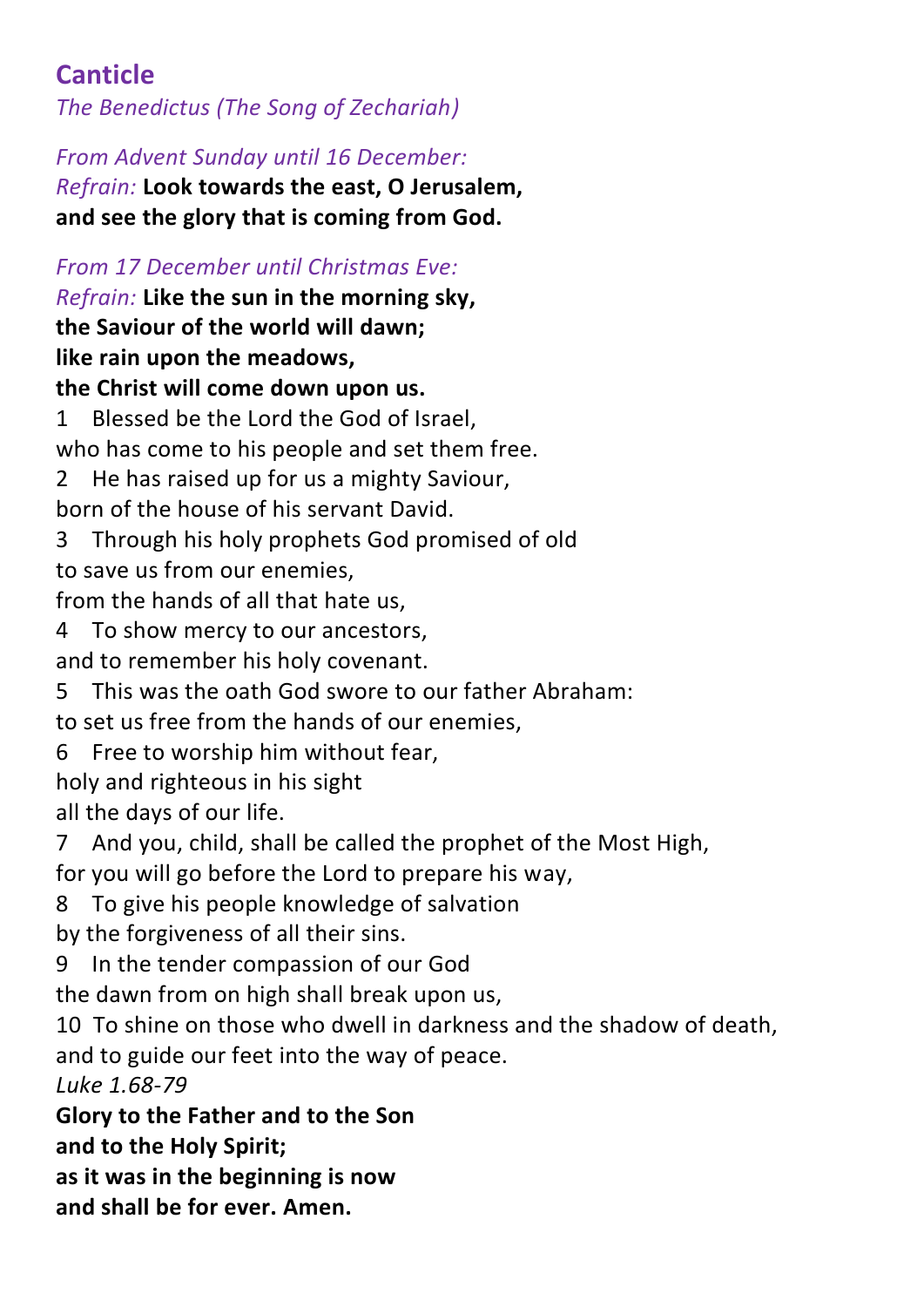## **Canticle**

*The Benedictus (The Song of Zechariah)* 

*From Advent Sunday until 16 December:*

*Refrain:* **Look towards the east, O Jerusalem, and see the glory that is coming from God.**

*From 17 December until Christmas Eve: Refrain:* **Like the sun in the morning sky, the Saviour of the world will dawn; like rain upon the meadows, the Christ will come down upon us.** 1 Blessed be the Lord the God of Israel, who has come to his people and set them free. 2 He has raised up for us a mighty Saviour, born of the house of his servant David. 3 Through his holy prophets God promised of old to save us from our enemies, from the hands of all that hate us, 4 To show mercy to our ancestors, and to remember his holy covenant. 5 This was the oath God swore to our father Abraham: to set us free from the hands of our enemies, 6 Free to worship him without fear, holy and righteous in his sight all the days of our life. 7 And you, child, shall be called the prophet of the Most High, for you will go before the Lord to prepare his way,

8 To give his people knowledge of salvation

by the forgiveness of all their sins.

9 In the tender compassion of our God

the dawn from on high shall break upon us,

10 To shine on those who dwell in darkness and the shadow of death, and to guide our feet into the way of peace.

*Luke 1.68-79*

**Glory to the Father and to the Son**

**and to the Holy Spirit;**

**as it was in the beginning is now**

**and shall be for ever. Amen.**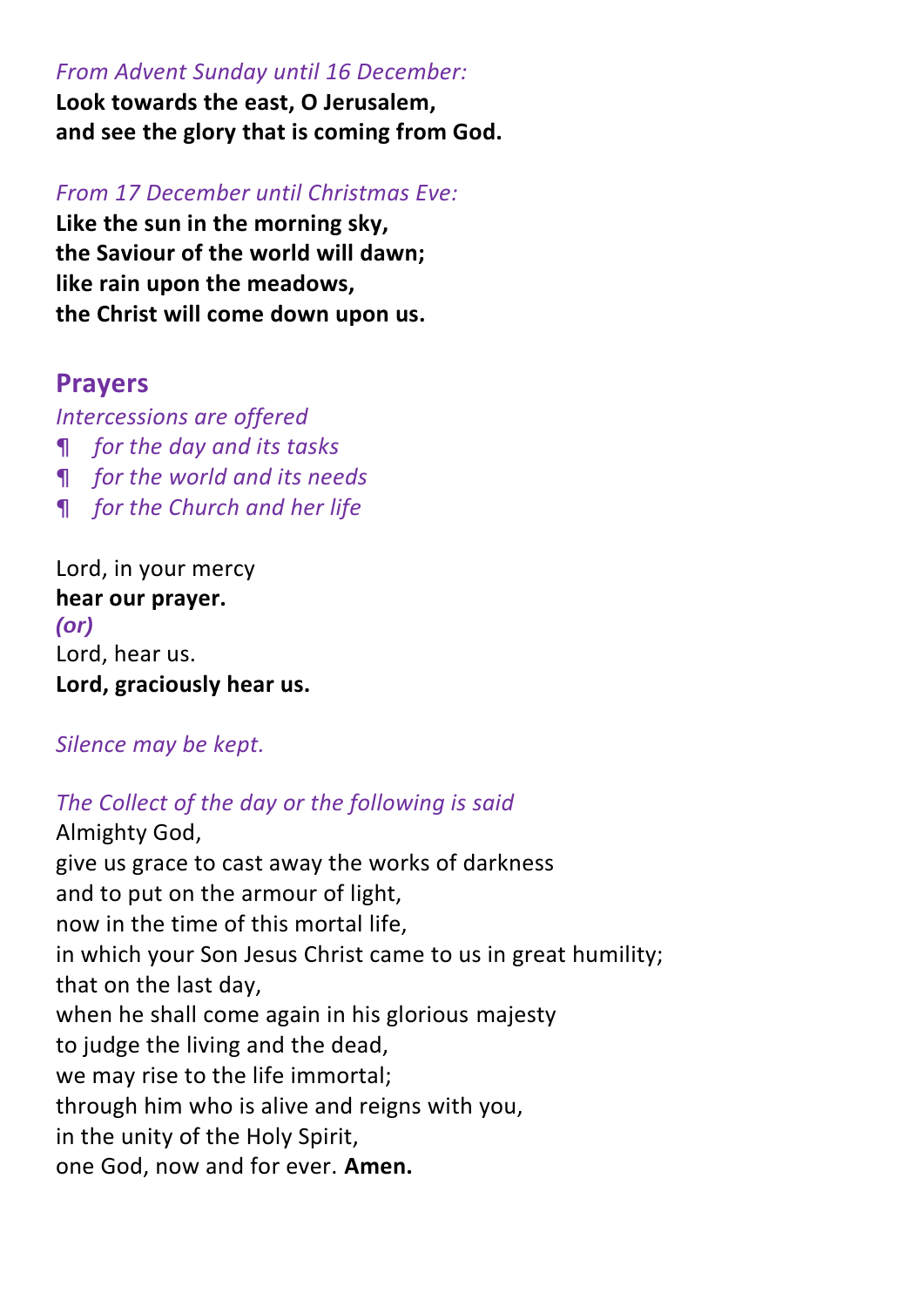#### *From Advent Sunday until 16 December:*

**Look towards the east, O Jerusalem, and see the glory that is coming from God.**

#### *From 17 December until Christmas Eve:*

**Like the sun in the morning sky, the Saviour of the world will dawn; like rain upon the meadows, the Christ will come down upon us.**

### **Prayers**

*Intercessions are offered*

- ¶ *for the day and its tasks*
- ¶ *for the world and its needs*
- ¶ *for the Church and her life*

Lord, in your mercy **hear our prayer.** *(or)* Lord, hear us. **Lord, graciously hear us.**

#### *Silence may be kept.*

#### *The Collect of the day or the following is said*

Almighty God, give us grace to cast away the works of darkness and to put on the armour of light, now in the time of this mortal life, in which your Son Jesus Christ came to us in great humility; that on the last day, when he shall come again in his glorious majesty to judge the living and the dead, we may rise to the life immortal; through him who is alive and reigns with you, in the unity of the Holy Spirit, one God, now and for ever. **Amen.**